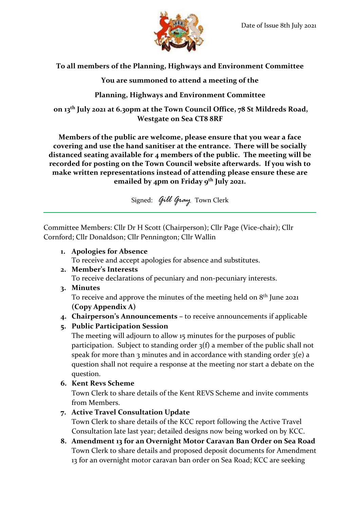

**To all members of the Planning, Highways and Environment Committee**

**You are summoned to attend a meeting of the**

**Planning, Highways and Environment Committee**

**on 13th July 2021 at 6.30pm at the Town Council Office, 78 St Mildreds Road, Westgate on Sea CT8 8RF**

**Members of the public are welcome, please ensure that you wear a face covering and use the hand sanitiser at the entrance. There will be socially distanced seating available for 4 members of the public. The meeting will be recorded for posting on the Town Council website afterwards. If you wish to make written representations instead of attending please ensure these are emailed by 4pm on Friday 9 th July 2021.**

Signed: *Gill Gray* Town Clerk

Committee Members: Cllr Dr H Scott (Chairperson); Cllr Page (Vice-chair); Cllr Cornford; Cllr Donaldson; Cllr Pennington; Cllr Wallin

**1. Apologies for Absence**

To receive and accept apologies for absence and substitutes.

**2. Member's Interests**

To receive declarations of pecuniary and non-pecuniary interests.

**3. Minutes**

To receive and approve the minutes of the meeting held on  $8^{\text{th}}$  June 2021 **(Copy Appendix A)**

- **4. Chairperson's Announcements –** to receive announcements if applicable
- **5. Public Participation Session**

The meeting will adjourn to allow 15 minutes for the purposes of public participation. Subject to standing order 3(f) a member of the public shall not speak for more than 3 minutes and in accordance with standing order  $3(e)$  a question shall not require a response at the meeting nor start a debate on the question.

**6. Kent Revs Scheme**

Town Clerk to share details of the Kent REVS Scheme and invite comments from Members.

**7. Active Travel Consultation Update**

Town Clerk to share details of the KCC report following the Active Travel Consultation late last year; detailed designs now being worked on by KCC.

**8. Amendment 13 for an Overnight Motor Caravan Ban Order on Sea Road** Town Clerk to share details and proposed deposit documents for Amendment 13 for an overnight motor caravan ban order on Sea Road; KCC are seeking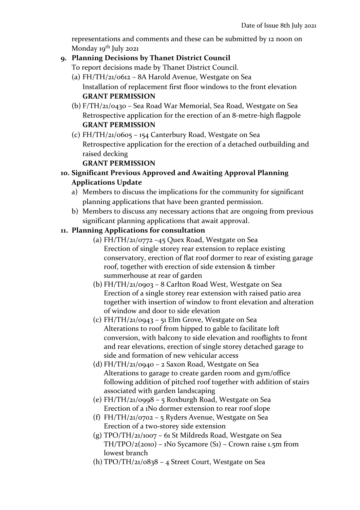representations and comments and these can be submitted by 12 noon on Monday  $19^{th}$  July 2021

## **9. Planning Decisions by Thanet District Council**

To report decisions made by Thanet District Council.

- (a) FH/TH/21/0612 8A Harold Avenue, Westgate on Sea Installation of replacement first floor windows to the front elevation **GRANT PERMISSION**
- (b) F/TH/21/0430 Sea Road War Memorial, Sea Road, Westgate on Sea Retrospective application for the erection of an 8-metre-high flagpole **GRANT PERMISSION**
- (c) FH/TH/21/0605 154 Canterbury Road, Westgate on Sea Retrospective application for the erection of a detached outbuilding and raised decking

## **GRANT PERMISSION**

- **10. Significant Previous Approved and Awaiting Approval Planning Applications Update**
	- a) Members to discuss the implications for the community for significant planning applications that have been granted permission.
	- b) Members to discuss any necessary actions that are ongoing from previous significant planning applications that await approval.

## **11. Planning Applications for consultation**

- (a) FH/TH/21/0772 –45 Quex Road, Westgate on Sea Erection of single storey rear extension to replace existing conservatory, erection of flat roof dormer to rear of existing garage roof, together with erection of side extension & timber summerhouse at rear of garden
- (b) FH/TH/21/0903 8 Carlton Road West, Westgate on Sea Erection of a single storey rear extension with raised patio area together with insertion of window to front elevation and alteration of window and door to side elevation
- (c) FH/TH/21/0943 51 Elm Grove, Westgate on Sea Alterations to roof from hipped to gable to facilitate loft conversion, with balcony to side elevation and rooflights to front and rear elevations, erection of single storey detached garage to side and formation of new vehicular access
- (d) FH/TH/21/0940 2 Saxon Road, Westgate on Sea Alterations to garage to create garden room and gym/office following addition of pitched roof together with addition of stairs associated with garden landscaping
- (e) FH/TH/21/0998 5 Roxburgh Road, Westgate on Sea Erection of a 1No dormer extension to rear roof slope
- (f) FH/TH/21/0702 5 Ryders Avenue, Westgate on Sea Erection of a two-storey side extension
- (g) TPO/TH/21/1007 61 St Mildreds Road, Westgate on Sea TH/TPO/2(2010) – 1No Sycamore (S1) – Crown raise 1.5m from lowest branch
- (h)  $TPO/TH/21/0838 4$  Street Court, Westgate on Sea